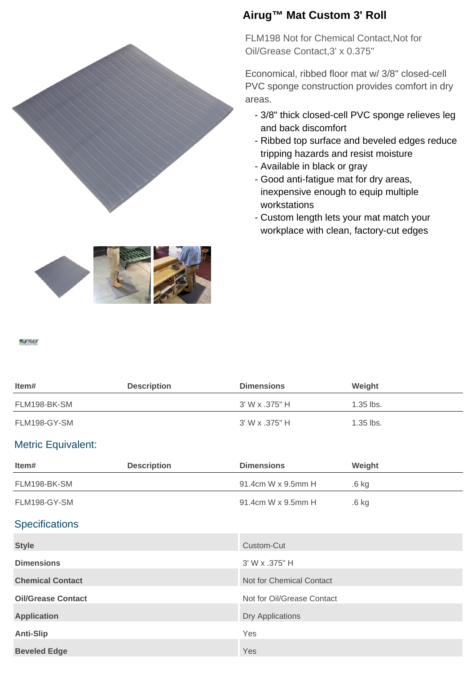



FLM198 Not for Chemical Contact,Not for Oil/Grease Contact,3' x 0.375"

Economical, ribbed floor mat w/ 3/8" closed-cell PVC sponge construction provides comfort in dry areas.

- 3/8" thick closed-cell PVC sponge relieves leg and back discomfort
- Ribbed top surface and beveled edges reduce tripping hazards and resist moisture
- Available in black or gray
- Good anti-fatigue mat for dry areas, inexpensive enough to equip multiple workstations
- Custom length lets your mat match your workplace with clean, factory-cut edges



## **MOTRALY**

| ltem#        | <b>Description</b> | <b>Dimensions</b> | Weight      |
|--------------|--------------------|-------------------|-------------|
| FLM198-BK-SM |                    | 3' W x .375" H    | $1.35$ lbs. |
| FLM198-GY-SM |                    | 3' W x .375" H    | $1.35$ lbs. |

## Metric Equivalent:

| Item#                     | <b>Description</b> | <b>Dimensions</b>          | Weight           |  |
|---------------------------|--------------------|----------------------------|------------------|--|
| FLM198-BK-SM              |                    | 91.4cm W x 9.5mm H         | .6 <sub>kg</sub> |  |
| FLM198-GY-SM              |                    | 91.4cm W x 9.5mm H         | $.6$ kg          |  |
| <b>Specifications</b>     |                    |                            |                  |  |
| <b>Style</b>              |                    | Custom-Cut                 |                  |  |
| <b>Dimensions</b>         |                    | 3' W x .375" H             |                  |  |
| <b>Chemical Contact</b>   |                    | Not for Chemical Contact   |                  |  |
| <b>Oil/Grease Contact</b> |                    | Not for Oil/Grease Contact |                  |  |
| <b>Application</b>        |                    | <b>Dry Applications</b>    |                  |  |
| <b>Anti-Slip</b>          |                    | Yes                        |                  |  |
| <b>Beveled Edge</b>       |                    | Yes                        |                  |  |